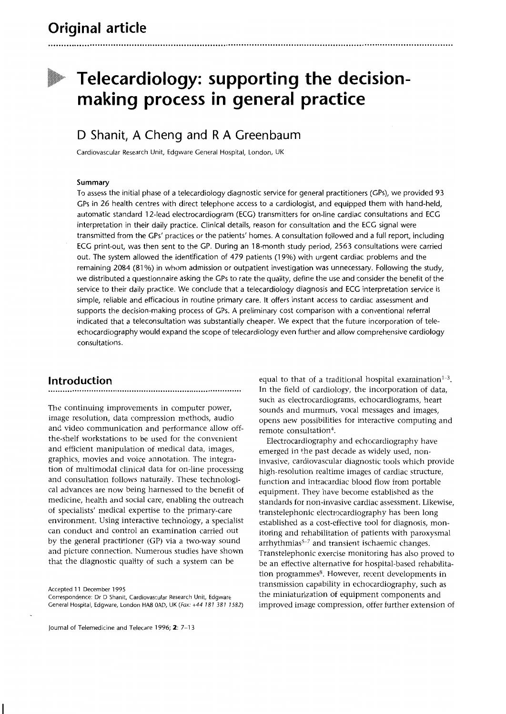# Telecardiology: supporting the decisionmaking process in general practice

# D Shanit, A Cheng and R A Creenbaum

Cardiovascular Research Unit, Edgware General Hospital, London, UK

### Summary

To assess the initial phase of a telecardiology diagnostic service for general practitioners (CPs), we provided 93 CPs in 26 health centres with direct telephone access to a cardiologist, and equipped them with hand-held, automatic standard 12-lead electrocardiogram (ECC) transmitters for on-line cardiac consultations and ECC interpretation in their daily practice. Clinical details, reason for consultation and the ECC signal were transmitted from the CPs' practices or the patients' homes. A consultation followed and a full report, including ECC print-out, was then sent to the CP. During an 18-month study period, 2563 consultations were carried out. The system allowed the identification of 479 patients (19%) with urgent cardiac problems and the remaining 2084 (81%) in whom admission or outpatient investigation was unnecessary. Following the study, we distributed a questionnaire asking the CPs to rate the quality, define the use and consider the benefit of the service to their daily practice. We conclude that a telecardiology diagnosis and ECC interpretation service is simple, reliable and efficacious in routine primary care. lt offers instant access to cardiac assessment and supports the decision-making process of CPs. A preliminary cost comparison with a conventional referral indicated that a teleconsultation was substantially cheaper. We expect that the future incorporation of teleechocardiography would expand the scope of telecardiology even further and allow comprehensive cardiology consultations.

The continuing improvements in computer power, image resolution, data compression methods, audio and video communication and performance allow offthe-shelf workstations to be used for the convenient and efficient manipulation of medical data, images, graphics, movies and voice annotation. The integration of multimodal clinical data for on-line processing and consultation follows naturally. These technological advances are now being harnessed to the benefit of medicine, health and social care, enabling the outreach of specialists' medical expertise to the primary-care environment. Using interactive technology, a specialist can conduct and control an examination carried out by the general practitioner (GP) via a two-way sound and picture connection. Numerous studies have shown that the diagnostic quality of such a system can be

Accepted 11 December 1995

Correspondence: Dr D Shanit, Cardiovascular Research Unit, Edgware General Hospital, Edgware, London HA8 0AD, UK (Fax: +44 181 381 1582)

Journal of Telemedicine and Telecare 1996; 2: 7-13

Introduction equal to that of a traditional hospital examination<sup>1-3</sup>. In the field of cardiology, the incorporation of data, such as electrocardiograms, echocardiograms, heart sounds and murmurs, vocal messages and images, opens new possibilities for interactive computing and remote consultation<sup>4</sup>.

> Electrocardiography and echocardiography have emerged in the past decade as widely used, noninvasive, cardiovascular diagnostic tools which provide high-resolution realtime images of cardiac structure, function and intracardiac blood flow from portable equipment. They have become established as the standards for non-invasive cardiac assessment. Likewise, transtelephonic electrocardiography has been long established as a cost-effective tool for diagnosis, monitoring and rehabilitation of patients with paroxysmal arrhythmias<sup>5-7</sup> and transient ischaemic changes. Transtelephonic exercise monitoring has also proved to be an effective alternative for hospital-based rehabilitation programmes<sup>8</sup>. However, recent developments in transmission capability in echocardiography, such as the miniaturization of equipment components and improved image compression, offer further extension of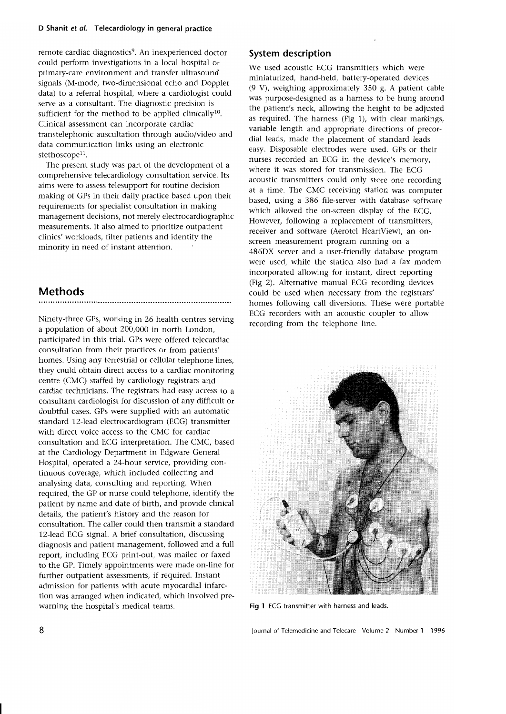remote cardiac diagnostics<sup>9</sup>. An inexperienced doctor could perform investigations in a local hospital or primary-care environment and transfer ultrasound signals (M-mode, two-dimensional echo and Doppler data) to a referral hospital, where a cardiologist could serve as a consultant. The diagnostic precision is sufficient for the method to be applied clinically<sup>10</sup>. Clinical assessment can incorporate cardiac transtelephonic auscultation through audio/video and data communication links using an electronic stethoscope<sup>11</sup>.

The present study was part of the development of a comprehensive telecardiology consultation service. Its aims were to assess telesupport for routine decision making of GPs in their daily practice based upon their requirements for specialist consultation in making management decisions, not merely electrocardiographic measurements. It also aimed to prioritize outpatient clinics'workloads, filter patients and identify the minoritv in need of instant attention.

# Methods

Ninety-three GPs, working in 26 health centres serving a population of about 200,000 in north London, participated in this trial. GPs were offered telecardiac consultation from their practices or from patients' homes. Using any terrestrial or cellular telephone lines, they could obtain direct access to a cardiac monitoring centre (CMC) staffed by cardiology registrars and cardiac technicians. The registrars had easy access to a consultant cardiologist for discussion of any difficult or doubtful cases. GPs were supplied with an automatic standard lZ-lead electrocardiogram (ECG) transmitter with direct voice access to the CMC for cardiac consultation and ECG interpretation. The CMC, based at the Cardiology Department in Edgware General Hospital, operated a Z4-hour service, providing continuous coverage, which included collecting and analysing data, consulting and reporting. When required, the GP or nurse could telephone, identify the patient by name and date of birth, and provide clinical details, the patient's history and the reason for consultation. The caller could then transmit a standard l2-lead ECG signal. A brief consultation, discussing diagnosis and patient management, followed and a full report, including ECG print-out, was mailed or faxed to the GP. Timely appointments were made on-line for further outpatient assessments, if required. Instant admission for patients with acute myocardial infarction was arranged when indicated, which involved prewarning the hospital's medical teams.

## System description

We used acoustic ECG transmitters which were miniaturized, hand-held, battery-operated devices (9 V), weighing approximately 350 g. A patient cable was purpose-designed as a harness to be hung around the patient's neck, allowing the height to be adjusted as required. The harness (Fig 1), with clear markings, variable length and appropriate directions of precordial leads, made the placement of standard leads easy. Disposable electrodes were used. GPs or their nurses recorded an ECG in the device's memory, where it was stored for transmission. The ECG acoustic transmitters could only store one recording at a time. The CMC receiving station was computer based, using a 386 file-server with database software which allowed the on-screen display of the ECG. However, following a replacement of transmitters, receiver and software (Aerotel HeartView), an onscreen measurement program running on a 486DX server and a user-friendly database program were used, while the station also had a fax modem incorporated allowing for instant, direct reporting (Fig 2). Alternative manual ECG recording devices could be used when necessary from the registrars' homes following call diversions. These were portable ECG recorders with an acoustic coupler to allow recording from the telephone line.



Fig 1 ECG transmitter with harness and leads.

Journal of Telemedicine and Telecare Volume 2 Number 1 1996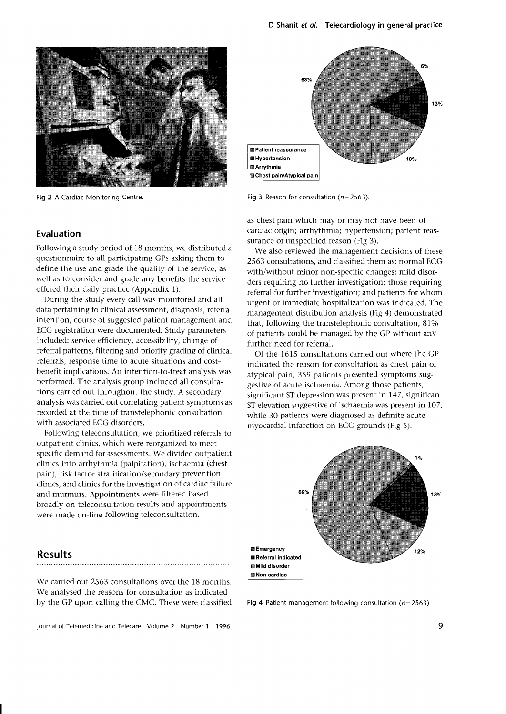

Fig 2 A Cardiac Monitoring Centre.



Fig 3 Reason for consultation ( $n=2563$ ).

### Evaluation

Following a study period of 18 months, we distributed a questionnaire to all participating GPs asking them to define the use and grade the quality of the service, as well as to consider and grade any benefits the service offered their daily practice (Appendix 1).

During the study every call was monitored and all data pertaining to clinical assessment, diagnosis, referral intention, course of suggested patient management and ECG registration were documented. Study parameters included: service efficiency, accessibility, change of referral patterns, filtering and priority grading of clinical referrals, response time to acute situations and costbenefit implications. An intention-to-treat analysis was performed. The analysis group included all consultations carried out throughout the study. A secondary analysis was carried out correlating patient symptoms as recorded at the time of transtelephonic consultation with associated ECG disorders.

Following teleconsultation, we prioritized referrals to outpatient clinics, which were reorganized to meet specific demand for assessments. We divided outpatient clinics into arrhythmia (palpitation), ischaemia (chest pain), risk factor stratification/secondary prevention clinics, and clinics for the investigation of cardiac failure and murmurs. Appointments were filtered based broadly on teleconsultation results and appointments were made on-line following teleconsultation.

as chest pain which may or may not have been of cardiac origin; arrhythmia; hypertension; patient reassurance or unspecified reason (Fig 3).

We also reviewed the management decisions of these 2563 consultations, and classified them as: normal ECG with/without minor non-specific changes; mild disorders requiring no further investigation; those requiring referral for further investigation; and patients for whom urgent or immediate hospitalization was indicated. The management distribution analysis (Fig 4) demonstrated that, following the transtelephonic consultation,  $81\%$ of patients could be managed by the GP without any further need for referral.

Of the 1615 consultations carried out where the GP indicated the reason for consultation as chest pain or atypical pain, 359 patients presented symptoms suggestive of acute ischaemia. Among those patients, significant ST depression was present in 147, significant ST elevation suggestive of ischaemia was present in 107, while 30 patients were diagnosed as definite acute myocardial infarction on ECG grounds (Fig 5).



Fig 4 Patient management following consultation ( $n=2563$ ).

# Results

We carried out 2563 consultations over the 18 months. We analysed the reasons for consultation as indicated by the GP upon calling the CMC. These were classified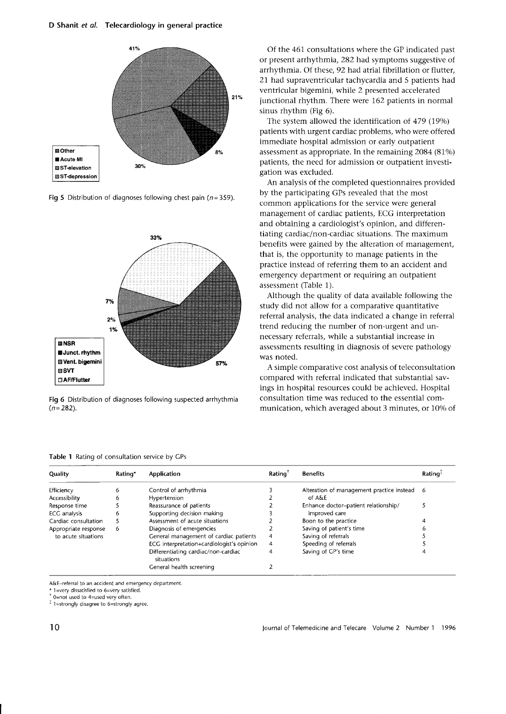

Fig 5 Distribution of diagnoses following chest pain ( $n=359$ ).



Fig 6 Distribution of diagnoses following suspected arrhythmia  $(n=282)$ .

Of the 461 consultations where the GP indicated past or present arrhythmia, 282had symptoms suggestive of arrhythmia. Of these, 92 had atrial fibrillation or flutter, 21 had supraventricular tachycardia and 5 patients had ventricular bigemini, while 2 presented accelerated junctional rhythm. There were 162 patients in normal sinus rhythm (Fig 6).

The system allowed the identification of  $479$  (19%) patients with urgent cardiac problems, who were offered immediate hospital admission or early outpatient assessment as appropriate. In the remaining  $2084$  (81%) patients, the need for admission or outpatient investigation was excluded.

An analysis of the completed questionnaires provided by the participating GPs revealed that the most common applications for the service were general management of cardiac patients, ECG interpretation and obtaining a cardiologist's opinion, and differentiating cardiac/non-cardiac situations. The maximum benefits were gained by the alteration of management, that is, the opportunity to manage patients in the practice instead of referring them to an accident and emergency department or requiring an outpatient assessment (Table 1).

Although the quality of data available following the study did not allow for a comparative quantitative referral analysis, the data indicated a change in referral trend reducing the number of non-urgent and unnecessary referrals, while a substantial increase in assessments resulting in diagnosis of severe pathology was noted.

A simple comparative cost analysis of teleconsultation compared with referral indicated that substantial savings in hospital resources could be achieved. Hospital consultation time was reduced to the essential communication, which averaged about 3 minutes, or 10% of

| Quality              | Rating* | Application                                       | Rating | <b>Benefits</b>                             | Rating <sup>*</sup> |
|----------------------|---------|---------------------------------------------------|--------|---------------------------------------------|---------------------|
| Efficiency           | 6       | Control of arrhythmia                             |        | Alteration of management practice instead 6 |                     |
| Accessibility        | 6       | Hypertension                                      |        | of A&E                                      |                     |
| Response time        |         | Reassurance of patients                           |        | Enhance doctor-patient relationship/        |                     |
| <b>ECG</b> analysis  | 6       | Supporting decision making                        |        | improved care                               |                     |
| Cardiac consultation |         | Assessment of acute situations                    |        | Boon to the practice                        |                     |
| Appropriate response | 6       | Diagnosis of emergencies                          |        | Saving of patient's time                    |                     |
| to acute situations  |         | General management of cardiac patients            | 4      | Saving of referrals                         |                     |
|                      |         | ECG interpretation+cardiologist's opinion         | 4      | Speeding of referrals                       |                     |
|                      |         | Differentiating cardiac/non-cardiac<br>situations | 4      | Saving of GP's time                         |                     |
|                      |         | General health screening                          |        |                                             |                     |

Table 1 Rating of consultation service by CPs

A&E-referral to an accident and emergency department

\* 1=very dissatisfied to 6=very satisfied.<br>' 0=not used to 4=used very often.

 $\ddagger$  1=strongly disagree to 6=strongly agree.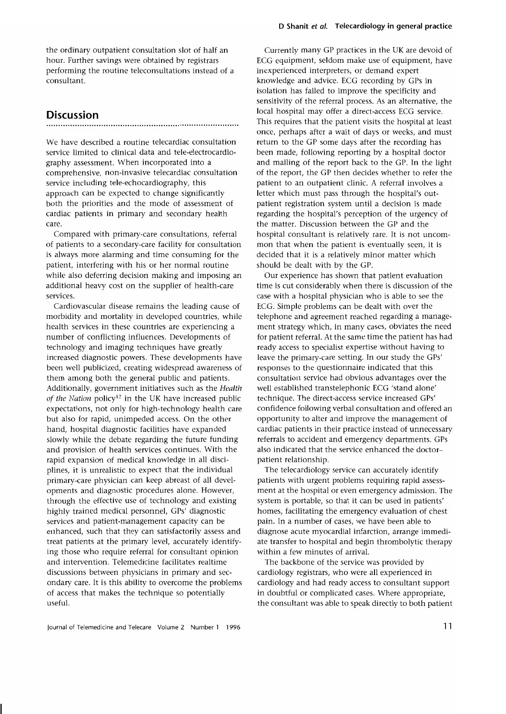the ordinary outpatient consultation slot of half an hour. Further savings were obtained by registrars performing the routine teleconsultations instead of a consultant.

# **Discussion**

We have described a routine telecardiac consultation service limited to clinical data and tele-electrocardiography assessment. When incorporated into a comprehensive, non-invasive telecardiac consultation service including tele-echocardiography, this approach can be expected to change significantly both the priorities and the mode of assessment of cardiac patients in primary and secondary health care.

Compared with primary-care consultations, referral of patients to a secondary-care facility for consultation is always more alarming and time consuming for the patient, interfering with his or her normal routine while also deferring decision making and imposing an additional heavy cost on the supplier of health-care services.

Cardiovascular disease remains the leading cause of morbidity and mortality in developed countries, while health services in these countries are experiencing a number of conflicting influences. Developments of technology and imaging techniques have greatly increased diagnostic powers. These developments have been well publicized, creating widespread awareness of them among both the general public and patients. Additionally, government initiatives such as the Health of the Nation policy $12$  in the UK have increased public expectations, not only for high-technology health care but also for rapid, unimpeded access. On the other hand, hospital diagnostic facilities have expanded slowly while the debate regarding the future funding and provision of health services continues. With the rapid expansion of medical knowledge in all disciplines, it is unrealistic to expect that the individual primary-care physician can keep abreast of all developments and diagnostic procedures alone. However, through the effective use of technology and existing highly trained medical personnel, GPs' diagnostic services and patient-management capacity can be enhanced, such that they can satisfactorily assess and treat patients at the primary level, accurately identifying those who require referral for consultant opinion and intervention. Telemedicine facilitates realtime discussions between physicians in primary and secondary care. It is this ability to overcome the problems of access that makes the technique so potentially useful.

Currently many GP practices in the UK are devoid of ECG equipment, seldom make use of equipment, have inexperienced interpreters, or demand expert knowledge and advice. ECG recording by GPs in isolation has failed to improve the specificity and sensitivity of the referral process. As an alternative, the local hospital may offer a direct-access ECG service. This requires that the patient visits the hospital at least once, perhaps after a wait of days or weeks, and must return to the GP some days after the recording has been made, following reporting by a hospital doctor and mailing of the report back to the GP. In the light of the report, the GP then decides whether to refer the patient to an outpatient clinic. A referral involves a letter which must pass through the hospital's outpatient registration system until a decision is made regarding the hospital's perception of the urgency of the matter. Discussion between the GP and the hospital consultant is relatively rare. It is not uncommon that when the patient is eventually seen, it is decided that it is a relatively minor matter which should be dealt with by the GP.

Our experience has shown that patient evaluation time is cut considerably when there is discussion of the case with a hospital physician who is able to see the ECG. Simple problems can be dealt with over the telephone and agreement reached regarding a management strategy which, in many cases, obviates the need for patient referral. At the same time the patient has had ready access to specialist expertise without having to leave the primary-care setting. In our study the GPs' responses to the questionnaire indicated that this consultation service had obvious advantages over the well established transtelephonic ECG 'stand alone' technique. The direct-access ervice increased GPs' confidence following verbal consultation and offered an opportunity to alter and improve the management of cardiac patients in their practice instead of unnecessary referrals to accident and emergency departments. GPs also indicated that the service enhanced the doctorpatient relationship.

The telecardiology service can accurately identify patients with urgent problems requiring rapid assessment at the hospital or even emergency admission. The system is portable, so that it can be used in patients' homes, facilitating the emergency evaluation of chest pain. In a number of cases, we have been able to diagnose acute myocardial infarction, arrange immediate transfer to hospital and begin thrombolytic therapy within a few minutes of arrival.

The backbone of the service was provided by cardiology registrars, who were all experienced in cardiology and had ready access to consultant support in doubtful or complicated cases. Where appropriate, the consultant was able to speak directly to both patient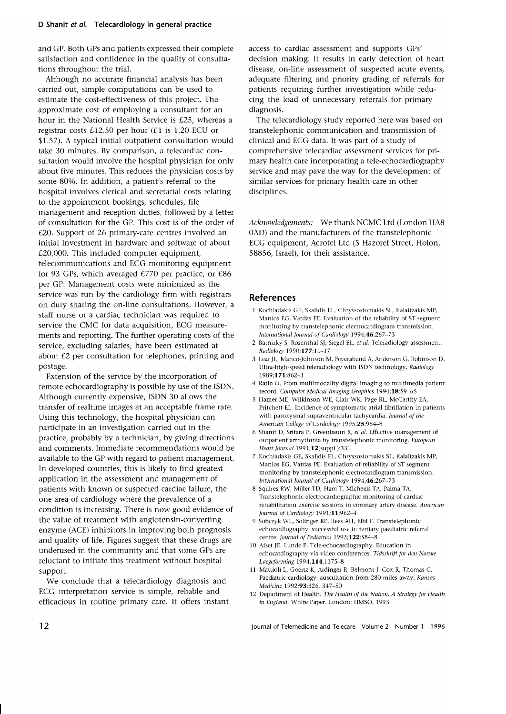and GP. Both GPs and patients expressed their complete satisfaction and confidence in the quality of consultations throughout the trial.

Although no accurate financial analysis has been carried out, simple computations can be used to estimate the cost-effectiveness of this project. The approximate cost of employing a consultant for an hour in the National Health Service is L25, whereas a registrar costs £12.50 per hour (£1 is 1.20 ECU or \$1.57). A typical initial outpatient consultation would take 30 minutes. By comparison, a telecardiac consultation would involve the hospital physician for only about five minutes. This reduces the physician costs by some 80%. In addition, a patient's referral to the hospital involves clerical and secretarial costs relating to the appointment bookings, schedules, file management and reception duties, followed by a letter of consultation for the GP. This cost is of the order of £20. Support of 26 primary-care centres involved an initial investment in hardware and software of about  $£20,000$ . This included computer equipment, telecommunications and ECG monitoring equipment for 93 GPs, which averaged  $£770$  per practice, or  $£86$ per GP. Management costs were minimized as the service was run by the cardiology firm with registrars on duty sharing the on-line consultations. However, a staff nurse or a cardiac technician was required to service the CMC for data acquisition, ECG measurements and reporting. The further operating costs of the service, excluding salaries, have been estimated at about £2 per consultation for telephones, printing and postage.

Extension of the service by the incorporation of remote echocardiography is possible by use of the ISDN. Although currently expensive, ISDN 30 allows the transfer of realtime images at an acceptable frame rate. Using this technology, the hospital physician can participate in an investigation carried out in the practice, probably by a technician, by giving directions and comments. Immediate recommendations would be available to the GP with regard to patient management. In developed countries, this is likely to find greatest application in the assessment and management of patients with known or suspected cardiac failure, the one area of cardiology where the prevalence of a condition is increasing. There is now good evidence of the value of treatment with angiotensin-converting enzyme (ACE) inhibitors in improving both prognosis and quality of life. Figures suggest that these drugs are underused in the community and that some GPs are reluctant to initiate this treatment without hospital support.

We conclude that a telecardiology diagnosis and ECG interpretation service is simple, reliable and efficacious in routine primary care. It offers instant access to cardiac assessment and supports GPs' decision making. It results in early detection of heart disease, on-line assessment of suspected acute events, adequate filtering and priority grading of referrals for patients requiring further investigation while reducing the load of unnecessary referrals for primary diagnosis.

The telecardiology study reported here was based on transtelephonic communication and transmission of clinical and ECG data. It was part of a study of comprehensive telecardiac assessment services for primary health care incorporating a tele-echocardiography service and may pave the way for the development of similar services for primary health care in other disciplines.

Acknowledgements: We thank NCMC Ltd (London HA8 OAD) and the manufacturers of the transtelephonic ECG equipment, Aerotel Ltd (5 Hazoref Street, Holon, 58856, Israel), for their assistance.

### References

- 1 Kochiadakis GE, Skalidis EL, Chryssostomakis SL, Kalaitzakis MP, Manios EG, Vardas PE. Evaluation of the reliability of ST segment monitoring by transtelephonic electrocardiogram transmission. International Journal of Cardiology 1994;46:267-73
- 2 Batnizky S, Rosenthal SJ, Siegel EL, et al. Teleradiology assessment. Radiology 1990;177:11-17
- 3 LearJL, Manco-Johnson M, Feyerabend A, Anderson G, Robinson D. Ultra-high-speed teleradiology with ISDN technology. Radiology 7989;l7l:862-3
- 4 Ratib O. From multimodality digital imaging to multimedia patient record. Computer Medical Imaging Graphics 1994:18:59-65
- 5 Hamer ME, Wilkinson WE, Clair WK, Page RL, McCarthy EA, Pritchett EL. Incidence of symptomatic atrial fibrillation in patients with paroxysmal supraventricular tachycardia. Journal of the American College of Cardiology 1995;25:984-8
- 6 Shanit D, Sritara P, Greenbaum R, et a/. Effective management of outpatient arrhythmia by transtelephonic monitoring. European Heart loumal 1991;12(suppl.):33 1
- 7 Kochiadakis GE, Skalidis EL, Chryssostomakis Sl,, Kalaitzakis MP, Manios EG, Vardas PE. Evaluation of reliability of ST segment monitoring by transtelephonic electrocardiogram transmission. International Journal of Cardiology 1994;46:267-73
- 8 Squires RW, Miller TD, Ham T, Micheels TA, Palma TA. Transtelephonic electrocardiographic monitoring of cardiac rehabilitation exercise sessions in coronary artery disease. American Journal of Cardiology 1991;11:962-4
- 9 Sobczyk WL, Solinger RE, Rees AH, Elbl F. Transtelephonic echocardiography: successful use in tertiary paediatric referral centre. Journal of Pediatrics 1993;122:S84-8
- 10 Afset JE, Lunde P. Tele-echocardiography. Education in echocardiography via video conferences. Tidsskrift for den Norske Laegeforening 1994:114:1175-8
- 11 Mattioli L, Goertz K, Ardinger R, Belmont J, Cox R, Thomas C. Paediatric cardiology: auscultation from 280 miles away. Kansas Medicine 1992;93:326, 347-50
- 12 Department of Health. The Health of the Nation. A Strategy for Health in England, White Paper. London: HMSO, 1993